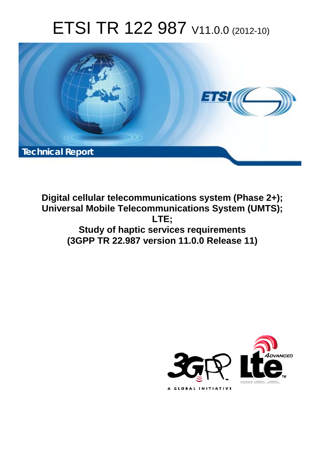# ETSI TR 122 987 V11.0.0 (2012-10)



**Digital cellular telecommunications system (Phase 2+); Universal Mobile Telecommunications System (UMTS); LTE; Study of haptic services requirements (3GPP TR 22.987 version 11.0.0 Release 11)** 

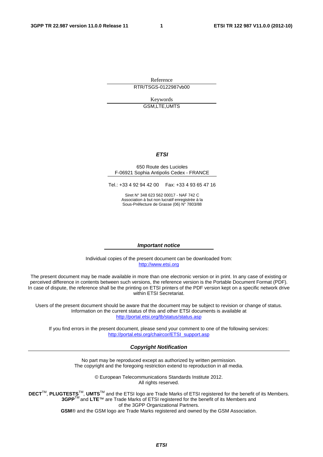Reference RTR/TSGS-0122987vb00

> Keywords GSM,LTE,UMTS

#### *ETSI*

#### 650 Route des Lucioles F-06921 Sophia Antipolis Cedex - FRANCE

Tel.: +33 4 92 94 42 00 Fax: +33 4 93 65 47 16

Siret N° 348 623 562 00017 - NAF 742 C Association à but non lucratif enregistrée à la Sous-Préfecture de Grasse (06) N° 7803/88

#### *Important notice*

Individual copies of the present document can be downloaded from: [http://www.etsi.org](http://www.etsi.org/)

The present document may be made available in more than one electronic version or in print. In any case of existing or perceived difference in contents between such versions, the reference version is the Portable Document Format (PDF). In case of dispute, the reference shall be the printing on ETSI printers of the PDF version kept on a specific network drive within ETSI Secretariat.

Users of the present document should be aware that the document may be subject to revision or change of status. Information on the current status of this and other ETSI documents is available at <http://portal.etsi.org/tb/status/status.asp>

If you find errors in the present document, please send your comment to one of the following services: [http://portal.etsi.org/chaircor/ETSI\\_support.asp](http://portal.etsi.org/chaircor/ETSI_support.asp)

#### *Copyright Notification*

No part may be reproduced except as authorized by written permission. The copyright and the foregoing restriction extend to reproduction in all media.

> © European Telecommunications Standards Institute 2012. All rights reserved.

**DECT**TM, **PLUGTESTS**TM, **UMTS**TM and the ETSI logo are Trade Marks of ETSI registered for the benefit of its Members. **3GPP**TM and **LTE**™ are Trade Marks of ETSI registered for the benefit of its Members and of the 3GPP Organizational Partners.

**GSM**® and the GSM logo are Trade Marks registered and owned by the GSM Association.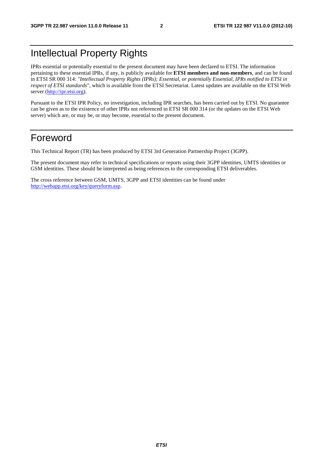### Intellectual Property Rights

IPRs essential or potentially essential to the present document may have been declared to ETSI. The information pertaining to these essential IPRs, if any, is publicly available for **ETSI members and non-members**, and can be found in ETSI SR 000 314: *"Intellectual Property Rights (IPRs); Essential, or potentially Essential, IPRs notified to ETSI in respect of ETSI standards"*, which is available from the ETSI Secretariat. Latest updates are available on the ETSI Web server ([http://ipr.etsi.org\)](http://webapp.etsi.org/IPR/home.asp).

Pursuant to the ETSI IPR Policy, no investigation, including IPR searches, has been carried out by ETSI. No guarantee can be given as to the existence of other IPRs not referenced in ETSI SR 000 314 (or the updates on the ETSI Web server) which are, or may be, or may become, essential to the present document.

### Foreword

This Technical Report (TR) has been produced by ETSI 3rd Generation Partnership Project (3GPP).

The present document may refer to technical specifications or reports using their 3GPP identities, UMTS identities or GSM identities. These should be interpreted as being references to the corresponding ETSI deliverables.

The cross reference between GSM, UMTS, 3GPP and ETSI identities can be found under [http://webapp.etsi.org/key/queryform.asp.](http://webapp.etsi.org/key/queryform.asp)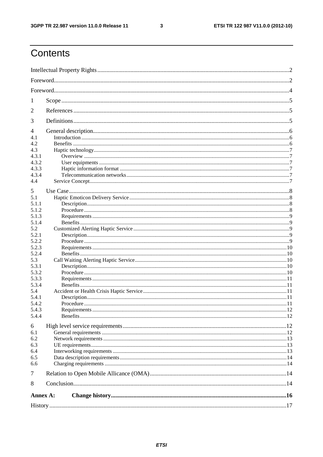$\mathbf{3}$ 

### Contents

| 1            |  |  |  |  |  |  |
|--------------|--|--|--|--|--|--|
| 2            |  |  |  |  |  |  |
|              |  |  |  |  |  |  |
| 3            |  |  |  |  |  |  |
| 4            |  |  |  |  |  |  |
| 4.1          |  |  |  |  |  |  |
| 4.2          |  |  |  |  |  |  |
| 4.3          |  |  |  |  |  |  |
| 4.3.1        |  |  |  |  |  |  |
| 4.3.2        |  |  |  |  |  |  |
| 4.3.3        |  |  |  |  |  |  |
| 4.3.4        |  |  |  |  |  |  |
| 4.4          |  |  |  |  |  |  |
| 5            |  |  |  |  |  |  |
| 5.1          |  |  |  |  |  |  |
| 5.1.1        |  |  |  |  |  |  |
| 5.1.2        |  |  |  |  |  |  |
| 5.1.3        |  |  |  |  |  |  |
| 5.1.4        |  |  |  |  |  |  |
| 5.2          |  |  |  |  |  |  |
| 5.2.1        |  |  |  |  |  |  |
| 5.2.2        |  |  |  |  |  |  |
| 5.2.3        |  |  |  |  |  |  |
| 5.2.4        |  |  |  |  |  |  |
| 5.3          |  |  |  |  |  |  |
| 5.3.1        |  |  |  |  |  |  |
| 5.3.2        |  |  |  |  |  |  |
| 5.3.3        |  |  |  |  |  |  |
| 5.3.4<br>5.4 |  |  |  |  |  |  |
| 5.4.1        |  |  |  |  |  |  |
| 5.4.2        |  |  |  |  |  |  |
| 5.4.3        |  |  |  |  |  |  |
| 5.4.4        |  |  |  |  |  |  |
|              |  |  |  |  |  |  |
| 6            |  |  |  |  |  |  |
| 6.1          |  |  |  |  |  |  |
| 6.2          |  |  |  |  |  |  |
| 6.3          |  |  |  |  |  |  |
| 6.4<br>6.5   |  |  |  |  |  |  |
| 6.6          |  |  |  |  |  |  |
|              |  |  |  |  |  |  |
| $\tau$       |  |  |  |  |  |  |
| 8            |  |  |  |  |  |  |
| Annex A:     |  |  |  |  |  |  |
|              |  |  |  |  |  |  |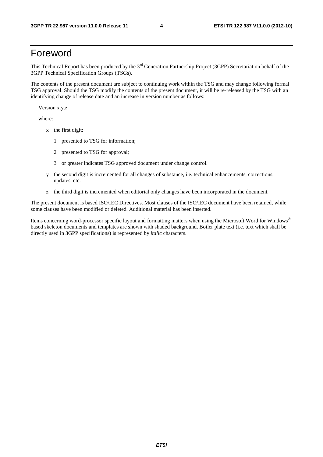### Foreword

This Technical Report has been produced by the  $3<sup>rd</sup>$  Generation Partnership Project (3GPP) Secretariat on behalf of the 3GPP Technical Specification Groups (TSGs).

The contents of the present document are subject to continuing work within the TSG and may change following formal TSG approval. Should the TSG modify the contents of the present document, it will be re-released by the TSG with an identifying change of release date and an increase in version number as follows:

Version x.y.z

where:

- x the first digit:
	- 1 presented to TSG for information;
	- 2 presented to TSG for approval;
	- 3 or greater indicates TSG approved document under change control.
- y the second digit is incremented for all changes of substance, i.e. technical enhancements, corrections, updates, etc.
- z the third digit is incremented when editorial only changes have been incorporated in the document.

The present document is based ISO/IEC Directives. Most clauses of the ISO/IEC document have been retained, while some clauses have been modified or deleted. Additional material has been inserted.

Items concerning word-processor specific layout and formatting matters when using the Microsoft Word for Windows® based skeleton documents and templates are shown with shaded background. Boiler plate text (i.e. text which shall be directly used in 3GPP specifications) is represented by *italic* characters.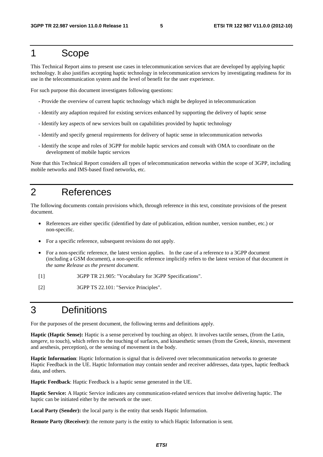### 1 Scope

This Technical Report aims to present use cases in telecommunication services that are developed by applying haptic technology. It also justifies accepting haptic technology in telecommunication services by investigating readiness for its use in the telecommunication system and the level of benefit for the user experience.

For such purpose this document investigates following questions:

- Provide the overview of current haptic technology which might be deployed in telecommunication
- Identify any adaption required for existing services enhanced by supporting the delivery of haptic sense
- Identify key aspects of new services built on capabilities provided by haptic technology
- Identify and specify general requirements for delivery of haptic sense in telecommunication networks
- Identify the scope and roles of 3GPP for mobile haptic services and consult with OMA to coordinate on the development of mobile haptic services

Note that this Technical Report considers all types of telecommunication networks within the scope of 3GPP, including mobile networks and IMS-based fixed networks, etc.

### 2 References

The following documents contain provisions which, through reference in this text, constitute provisions of the present document.

- References are either specific (identified by date of publication, edition number, version number, etc.) or non-specific.
- For a specific reference, subsequent revisions do not apply.
- For a non-specific reference, the latest version applies. In the case of a reference to a 3GPP document (including a GSM document), a non-specific reference implicitly refers to the latest version of that document *in the same Release as the present document*.
- [1] 3GPP TR 21.905: "Vocabulary for 3GPP Specifications".
- [2] 3GPP TS 22.101: "Service Principles".

### 3 Definitions

For the purposes of the present document, the following terms and definitions apply.

**Haptic (Haptic Sense):** Haptic is a sense perceived by touching an object. It involves tactile senses, (from the Latin, *tangere*, to touch), which refers to the touching of surfaces, and kinaesthetic senses (from the Greek, *kinesis*, movement and aesthesis, perception), or the sensing of movement in the body.

**Haptic Information**: Haptic Information is signal that is delivered over telecommunication networks to generate Haptic Feedback in the UE. Haptic Information may contain sender and receiver addresses, data types, haptic feedback data, and others.

**Haptic Feedback**: Haptic Feedback is a haptic sense generated in the UE.

**Haptic Service:** A Haptic Service indicates any communication-related services that involve delivering haptic. The haptic can be initiated either by the network or the user.

**Local Party (Sender):** the local party is the entity that sends Haptic Information.

**Remote Party (Receiver):** the remote party is the entity to which Haptic Information is sent.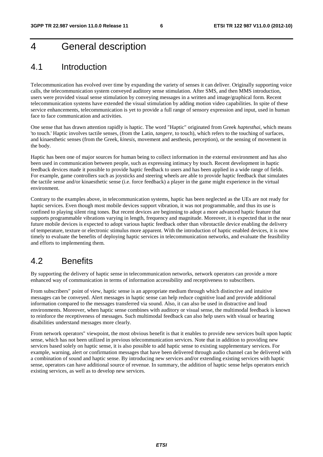### 4 General description

### 4.1 Introduction

Telecommunication has evolved over time by expanding the variety of senses it can deliver. Originally supporting voice calls, the telecommunication system conveyed auditory sense stimulation. After SMS, and then MMS introduction, users were provided visual sense stimulation by conveying messages in a written and image/graphical form. Recent telecommunication systems have extended the visual stimulation by adding motion video capabilities. In spite of these service enhancements, telecommunication is yet to provide a full range of sensory expression and input, used in human face to face communication and activities.

One sense that has drawn attention rapidly is haptic. The word "Haptic" originated from Greek *haptesthai*, which means 'to touch.' Haptic involves tactile senses, (from the Latin, *tangere*, to touch), which refers to the touching of surfaces, and kinaesthetic senses (from the Greek, *kinesis*, movement and aesthesis, perception), or the sensing of movement in the body.

Haptic has been one of major sources for human being to collect information in the external environment and has also been used in communication between people, such as expressing intimacy by touch. Recent development in haptic feedback devices made it possible to provide haptic feedback to users and has been applied in a wide range of fields. For example, game controllers such as joysticks and steering wheels are able to provide haptic feedback that simulates the tactile sense and/or kinaesthetic sense (i.e. force feedback) a player in the game might experience in the virtual environment.

Contrary to the examples above, in telecommunication systems, haptic has been neglected as the UEs are not ready for haptic services. Even though most mobile devices support vibration, it was not programmable, and thus its use is confined to playing silent ring tones. But recent devices are beginning to adopt a more advanced haptic feature that supports programmable vibrations varying in length, frequency and magnitude. Moreover, it is expected that in the near future mobile devices is expected to adopt various haptic feedback other than vibrotactile device enabling the delivery of temperature, texture or electronic stimulus more apparent. With the introduction of haptic enabled devices, it is now timely to evaluate the benefits of deploying haptic services in telecommunication networks, and evaluate the feasibility and efforts to implementing them.

### 4.2 Benefits

By supporting the delivery of haptic sense in telecommunication networks, network operators can provide a more enhanced way of communication in terms of information accessibility and receptiveness to subscribers.

From subscribers" point of view, haptic sense is an appropriate medium through which distinctive and intuitive messages can be conveyed. Alert messages in haptic sense can help reduce cognitive load and provide additional information compared to the messages transferred via sound. Also, it can also be used in distractive and loud environments. Moreover, when haptic sense combines with auditory or visual sense, the multimodal feedback is known to reinforce the receptiveness of messages. Such multimodal feedback can also help users with visual or hearing disabilities understand messages more clearly.

From network operators" viewpoint, the most obvious benefit is that it enables to provide new services built upon haptic sense, which has not been utilized in previous telecommunication services. Note that in addition to providing new services based solely on haptic sense, it is also possible to add haptic sense to existing supplementary services. For example, warning, alert or confirmation messages that have been delivered through audio channel can be delivered with a combination of sound and haptic sense. By introducing new services and/or extending existing services with haptic sense, operators can have additional source of revenue. In summary, the addition of haptic sense helps operators enrich existing services, as well as to develop new services.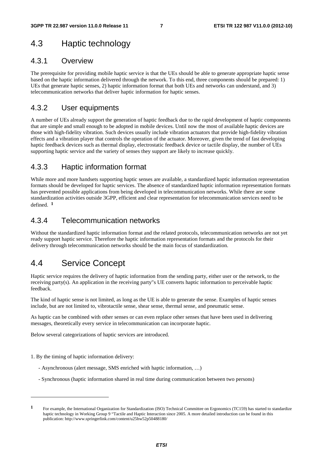### 4.3 Haptic technology

#### 4.3.1 Overview

The prerequisite for providing mobile haptic service is that the UEs should be able to generate appropriate haptic sense based on the haptic information delivered through the network. To this end, three components should be prepared: 1) UEs that generate haptic senses, 2) haptic information format that both UEs and networks can understand, and 3) telecommunication networks that deliver haptic information for haptic senses.

#### 4.3.2 User equipments

A number of UEs already support the generation of haptic feedback due to the rapid development of haptic components that are simple and small enough to be adopted in mobile devices. Until now the most of available haptic devices are those with high-fidelity vibration. Such devices usually include vibration actuators that provide high-fidelity vibration effects and a vibration player that controls the operation of the actuator. Moreover, given the trend of fast developing haptic feedback devices such as thermal display, electrostatic feedback device or tactile display, the number of UEs supporting haptic service and the variety of senses they support are likely to increase quickly.

#### 4.3.3 Haptic information format

While more and more handsets supporting haptic senses are available, a standardized haptic information representation formats should be developed for haptic services. The absence of standardized haptic information representation formats has prevented possible applications from being developed in telecommunication networks. While there are some standardization activities outside 3GPP, efficient and clear representation for telecommunication services need to be defined. **<sup>1</sup>**

#### 4.3.4 Telecommunication networks

Without the standardized haptic information format and the related protocols, telecommunication networks are not yet ready support haptic service. Therefore the haptic information representation formats and the protocols for their delivery through telecommunication networks should be the main focus of standardization.

### 4.4 Service Concept

Haptic service requires the delivery of haptic information from the sending party, either user or the network, to the receiving party(s). An application in the receiving party"s UE converts haptic information to perceivable haptic feedback.

The kind of haptic sense is not limited, as long as the UE is able to generate the sense. Examples of haptic senses include, but are not limited to, vibrotactile sense, shear sense, thermal sense, and pneumatic sense.

As haptic can be combined with other senses or can even replace other senses that have been used in delivering messages, theoretically every service in telecommunication can incorporate haptic.

Below several categorizations of haptic services are introduced.

1. By the timing of haptic information delivery:

-

- Asynchronous (alert message, SMS enriched with haptic information, …)
- Synchronous (haptic information shared in real time during communication between two persons)

**<sup>1</sup>** For example, the International Organization for Standardization (ISO) Technical Committee on Ergonomics (TC159) has started to standardize haptic technology in Working Group 9 "Tactile and Haptic Interaction since 2005. A more detailed introduction can be found in this publication: http://www.springerlink.com/content/u25hw52p50488180/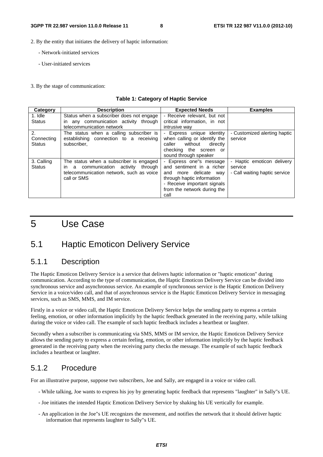#### 2. By the entity that initiates the delivery of haptic information:

- Network-initiated services
- User-initiated services
- 3. By the stage of communication:

#### **Table 1: Category of Haptic Service**

| Category                          | <b>Description</b>                                                                                                                                  | <b>Expected Needs</b>                                                                                                                                                                   | <b>Examples</b>                                                        |
|-----------------------------------|-----------------------------------------------------------------------------------------------------------------------------------------------------|-----------------------------------------------------------------------------------------------------------------------------------------------------------------------------------------|------------------------------------------------------------------------|
| 1. Idle<br><b>Status</b>          | Status when a subscriber does not engage<br>any communication activity through<br>$\mathsf{I}$<br>telecommunication network                         | - Receive relevant, but not<br>critical information, in not<br>intrusive way                                                                                                            |                                                                        |
| 2.<br>Connecting<br><b>Status</b> | The status when a calling subscriber is<br>establishing connection to a receiving<br>subscriber.                                                    | - Express unique identity<br>when calling or identify the<br>without<br>caller<br>directly<br>checking the screen or<br>sound through speaker                                           | - Customized alerting haptic<br>service                                |
| 3. Calling<br><b>Status</b>       | The status when a subscriber is engaged<br>communication activity<br>through<br>in.<br>a<br>telecommunication network, such as voice<br>call or SMS | - Express one"s message<br>and sentiment in a richer<br>more delicate<br>and<br>wav<br>through haptic information<br>- Receive important signals<br>from the network during the<br>call | - Haptic emoticon delivery<br>service<br>- Call waiting haptic service |

### 5 Use Case

### 5.1 Haptic Emoticon Delivery Service

#### 5.1.1 Description

The Haptic Emoticon Delivery Service is a service that delivers haptic information or "haptic emoticon" during communication. According to the type of communication, the Haptic Emoticon Delivery Service can be divided into synchronous service and asynchronous service. An example of synchronous service is the Haptic Emoticon Delivery Service in a voice/video call, and that of asynchronous service is the Haptic Emoticon Delivery Service in messaging services, such as SMS, MMS, and IM service.

Firstly in a voice or video call, the Haptic Emoticon Delivery Service helps the sending party to express a certain feeling, emotion, or other information implicitly by the haptic feedback generated in the receiving party, while talking during the voice or video call. The example of such haptic feedback includes a heartbeat or laughter.

Secondly when a subscriber is communicating via SMS, MMS or IM service, the Haptic Emoticon Delivery Service allows the sending party to express a certain feeling, emotion, or other information implicitly by the haptic feedback generated in the receiving party when the receiving party checks the message. The example of such haptic feedback includes a heartbeat or laughter.

#### 5.1.2 Procedure

For an illustrative purpose, suppose two subscribers, Joe and Sally, are engaged in a voice or video call.

- While talking, Joe wants to express his joy by generating haptic feedback that represents "laughter" in Sally"s UE.
- Joe initiates the intended Haptic Emoticon Delivery Service by shaking his UE vertically for example.
- An application in the Joe"s UE recognizes the movement, and notifies the network that it should deliver haptic information that represents laughter to Sally"s UE.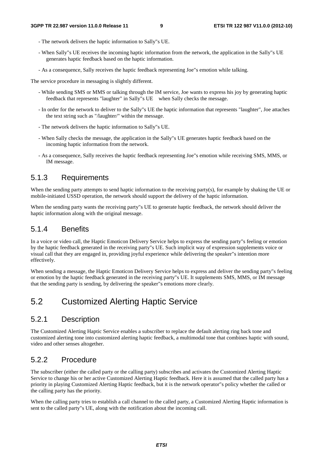- The network delivers the haptic information to Sally"s UE.
- When Sally"s UE receives the incoming haptic information from the network, the application in the Sally"s UE generates haptic feedback based on the haptic information.
- As a consequence, Sally receives the haptic feedback representing Joe"s emotion while talking.

The service procedure in messaging is slightly different.

- While sending SMS or MMS or talking through the IM service, Joe wants to express his joy by generating haptic feedback that represents "laughter" in Sally"s UE when Sally checks the message.
- In order for the network to deliver to the Sally"s UE the haptic information that represents "laughter", Joe attaches the text string such as "/laughter/" within the message.
- The network delivers the haptic information to Sally"s UE.
- When Sally checks the message, the application in the Sally"s UE generates haptic feedback based on the incoming haptic information from the network.
- As a consequence, Sally receives the haptic feedback representing Joe"s emotion while receiving SMS, MMS, or IM message.

#### 5.1.3 Requirements

When the sending party attempts to send haptic information to the receiving party(s), for example by shaking the UE or mobile-initiated USSD operation, the network should support the delivery of the haptic information.

When the sending party wants the receiving party"s UE to generate haptic feedback, the network should deliver the haptic information along with the original message.

#### 5.1.4 Benefits

In a voice or video call, the Haptic Emoticon Delivery Service helps to express the sending party"s feeling or emotion by the haptic feedback generated in the receiving party"s UE. Such implicit way of expression supplements voice or visual call that they are engaged in, providing joyful experience while delivering the speaker"s intention more effectively.

When sending a message, the Haptic Emoticon Delivery Service helps to express and deliver the sending party"s feeling or emotion by the haptic feedback generated in the receiving party"s UE. It supplements SMS, MMS, or IM message that the sending party is sending, by delivering the speaker"s emotions more clearly.

### 5.2 Customized Alerting Haptic Service

#### 5.2.1 Description

The Customized Alerting Haptic Service enables a subscriber to replace the default alerting ring back tone and customized alerting tone into customized alerting haptic feedback, a multimodal tone that combines haptic with sound, video and other senses altogether.

#### 5.2.2 Procedure

The subscriber (either the called party or the calling party) subscribes and activates the Customized Alerting Haptic Service to change his or her active Customized Alerting Haptic feedback. Here it is assumed that the called party has a priority in playing Customized Alerting Haptic feedback, but it is the network operator"s policy whether the called or the calling party has the priority.

When the calling party tries to establish a call channel to the called party, a Customized Alerting Haptic information is sent to the called party"s UE, along with the notification about the incoming call.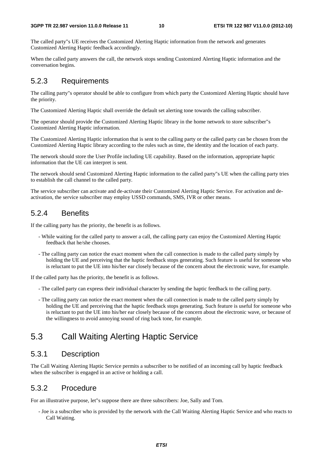The called party"s UE receives the Customized Alerting Haptic information from the network and generates Customized Alerting Haptic feedback accordingly.

When the called party answers the call, the network stops sending Customized Alerting Haptic information and the conversation begins.

#### 5.2.3 Requirements

The calling party"s operator should be able to configure from which party the Customized Alerting Haptic should have the priority.

The Customized Alerting Haptic shall override the default set alerting tone towards the calling subscriber.

The operator should provide the Customized Alerting Haptic library in the home network to store subscriber"s Customized Alerting Haptic information.

The Customized Alerting Haptic information that is sent to the calling party or the called party can be chosen from the Customized Alerting Haptic library according to the rules such as time, the identity and the location of each party.

The network should store the User Profile including UE capability. Based on the information, appropriate haptic information that the UE can interpret is sent.

The network should send Customized Alerting Haptic information to the called party"s UE when the calling party tries to establish the call channel to the called party.

The service subscriber can activate and de-activate their Customized Alerting Haptic Service. For activation and deactivation, the service subscriber may employ USSD commands, SMS, IVR or other means.

#### 5.2.4 Benefits

If the calling party has the priority, the benefit is as follows.

- While waiting for the called party to answer a call, the calling party can enjoy the Customized Alerting Haptic feedback that he/she chooses.
- The calling party can notice the exact moment when the call connection is made to the called party simply by holding the UE and perceiving that the haptic feedback stops generating. Such feature is useful for someone who is reluctant to put the UE into his/her ear closely because of the concern about the electronic wave, for example.

If the called party has the priority, the benefit is as follows.

- The called party can express their individual character by sending the haptic feedback to the calling party.
- The calling party can notice the exact moment when the call connection is made to the called party simply by holding the UE and perceiving that the haptic feedback stops generating. Such feature is useful for someone who is reluctant to put the UE into his/her ear closely because of the concern about the electronic wave, or because of the willingness to avoid annoying sound of ring back tone, for example.

### 5.3 Call Waiting Alerting Haptic Service

#### 5.3.1 Description

The Call Waiting Alerting Haptic Service permits a subscriber to be notified of an incoming call by haptic feedback when the subscriber is engaged in an active or holding a call.

#### 5.3.2 Procedure

For an illustrative purpose, let"s suppose there are three subscribers: Joe, Sally and Tom.

- Joe is a subscriber who is provided by the network with the Call Waiting Alerting Haptic Service and who reacts to Call Waiting.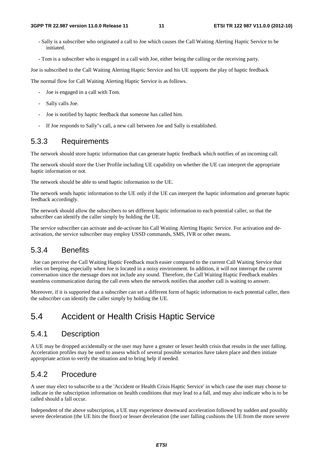- Sally is a subscriber who originated a call to Joe which causes the Call Waiting Alerting Haptic Service to be initiated.
- Tom is a subscriber who is engaged in a call with Joe, either being the calling or the receiving party.

Joe is subscribed to the Call Waiting Alerting Haptic Service and his UE supports the play of haptic feedback

The normal flow for Call Waiting Alerting Haptic Service is as follows.

- Joe is engaged in a call with Tom.
- Sally calls Joe.
- Joe is notified by haptic feedback that someone has called him.
- If Joe responds to Sally"s call, a new call between Joe and Sally is established.

#### 5.3.3 Requirements

The network should store haptic information that can generate haptic feedback which notifies of an incoming call.

The network should store the User Profile including UE capability on whether the UE can interpret the appropriate haptic information or not.

The network should be able to send haptic information to the UE.

The network sends haptic information to the UE only if the UE can interpret the haptic information and generate haptic feedback accordingly.

The network should allow the subscribers to set different haptic information to each potential caller, so that the subscriber can identify the caller simply by holding the UE.

The service subscriber can activate and de-activate his Call Waiting Alerting Haptic Service. For activation and deactivation, the service subscriber may employ USSD commands, SMS, IVR or other means.

#### 5.3.4 Benefits

 Joe can perceive the Call Waiting Haptic Feedback much easier compared to the current Call Waiting Service that relies on beeping, especially when Joe is located in a noisy environment. In addition, it will not interrupt the current conversation since the message does not include any sound. Therefore, the Call Waiting Haptic Feedback enables seamless communication during the call even when the network notifies that another call is waiting to answer.

Moreover, if it is supported that a subscriber can set a different form of haptic information to each potential caller, then the subscriber can identify the caller simply by holding the UE.

### 5.4 Accident or Health Crisis Haptic Service

#### 5.4.1 Description

A UE may be dropped accidentally or the user may have a greater or lesser health crisis that results in the user falling. Acceleration profiles may be used to assess which of several possible scenarios have taken place and then initiate appropriate action to verify the situation and to bring help if needed.

#### 5.4.2 Procedure

A user may elect to subscribe to a the 'Accident or Health Crisis Haptic Service' in which case the user may choose to indicate in the subscription information on health conditions that may lead to a fall, and may also indicate who is to be called should a fall occur.

Independent of the above subscription, a UE may experience downward acceleration followed by sudden and possibly severe deceleration (the UE hits the floor) or lesser deceleration (the user falling cushions the UE from the more severe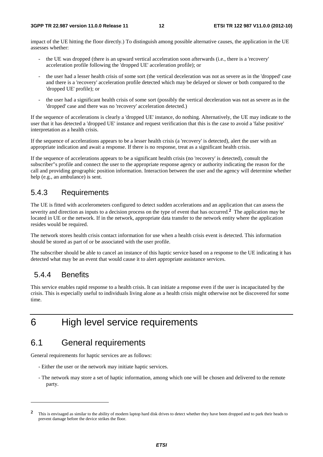impact of the UE hitting the floor directly.) To distinguish among possible alternative causes, the application in the UE assesses whether:

- the UE was dropped (there is an upward vertical acceleration soon afterwards (i.e., there is a 'recovery' acceleration profile following the 'dropped UE' acceleration profile); or
- the user had a lesser health crisis of some sort (the vertical deceleration was not as severe as in the 'dropped' case and there is a 'recovery' acceleration profile detected which may be delayed or slower or both compared to the 'dropped UE' profile); or
- the user had a significant health crisis of some sort (possibly the vertical deceleration was not as severe as in the 'dropped' case and there was no 'recovery' acceleration detected.)

If the sequence of accelerations is clearly a 'dropped UE' instance, do nothing. Alternatively, the UE may indicate to the user that it has detected a 'dropped UE' instance and request verification that this is the case to avoid a 'false positive' interpretation as a health crisis.

If the sequence of accelerations appears to be a lesser health crisis (a 'recovery' is detected), alert the user with an appropriate indication and await a response. If there is no response, treat as a significant health crisis.

If the sequence of accelerations appears to be a significant health crisis (no 'recovery' is detected), consult the subscriber"s profile and connect the user to the appropriate response agency or authority indicating the reason for the call and providing geographic position information. Interaction between the user and the agency will determine whether help (e.g., an ambulance) is sent.

#### 5.4.3 Requirements

The UE is fitted with accelerometers configured to detect sudden accelerations and an application that can assess the severity and direction as inputs to a decision process on the type of event that has occurred.**2** The application may be located in UE or the network. If in the network, appropriate data transfer to the network entity where the application resides would be required.

The network stores health crisis contact information for use when a health crisis event is detected. This information should be stored as part of or be associated with the user profile.

The subscriber should be able to cancel an instance of this haptic service based on a response to the UE indicating it has detected what may be an event that would cause it to alert appropriate assistance services.

#### 5.4.4 Benefits

-

This service enables rapid response to a health crisis. It can initiate a response even if the user is incapacitated by the crisis. This is especially useful to individuals living alone as a health crisis might otherwise not be discovered for some time.

### 6 High level service requirements

### 6.1 General requirements

General requirements for haptic services are as follows:

- Either the user or the network may initiate haptic services.
- The network may store a set of haptic information, among which one will be chosen and delivered to the remote party.

**<sup>2</sup>** This is envisaged as similar to the ability of modern laptop hard disk drives to detect whether they have been dropped and to park their heads to prevent damage before the device strikes the floor.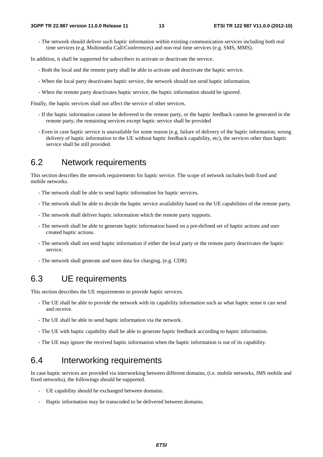- The network should deliver such haptic information within existing communication services including both real time services (e.g. Multimedia Call/Conferences) and non real time services (e.g. SMS, MMS).

In addition, it shall be supported for subscribers to activate or deactivate the service.

- Both the local and the remote party shall be able to activate and deactivate the haptic service.
- When the local party deactivates haptic service, the network should not send haptic information.
- When the remote party deactivates haptic service, the haptic information should be ignored.

Finally, the haptic services shall not affect the service of other services.

- If the haptic information cannot be delivered to the remote party, or the haptic feedback cannot be generated in the remote party, the remaining services except haptic service shall be provided
- Even in case haptic service is unavailable for some reason (e.g. failure of delivery of the haptic information, wrong delivery of haptic information to the UE without haptic feedback capability, etc), the services other than haptic service shall be still provided.

### 6.2 Network requirements

This section describes the network requirements for haptic service. The scope of network includes both fixed and mobile networks.

- The network shall be able to send haptic information for haptic services.
- The network shall be able to decide the haptic service availability based on the UE capabilities of the remote party.
- The network shall deliver haptic information which the remote party supports.
- The network shall be able to generate haptic information based on a pre-defined set of haptic actions and user created haptic actions.
- The network shall not send haptic information if either the local party or the remote party deactivates the haptic service.
- The network shall generate and store data for charging. (e.g. CDR)

### 6.3 UE requirements

This section describes the UE requirements to provide haptic services.

- The UE shall be able to provide the network with its capability information such as what haptic sense it can send and receive.
- The UE shall be able to send haptic information via the network.
- The UE with haptic capability shall be able to generate haptic feedback according to haptic information.
- The UE may ignore the received haptic information when the haptic information is out of its capability.

### 6.4 Interworking requirements

In case haptic services are provided via interworking between different domains, (i.e. mobile networks, IMS mobile and fixed networks), the followings should be supported.

- UE capability should be exchanged between domains.
- Haptic information may be transcoded to be delivered between domains.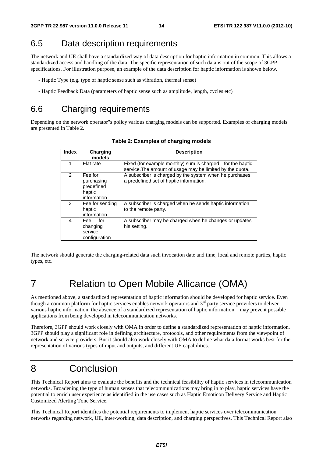### 6.5 Data description requirements

The network and UE shall have a standardized way of data description for haptic information in common. This allows a standardized access and handling of the data. The specific representation of such data is out of the scope of 3GPP specifications. For illustration purpose, an example of the data description for haptic information is shown below.

- Haptic Type (e.g. type of haptic sense such as vibration, thermal sense)
- Haptic Feedback Data (parameters of haptic sense such as amplitude, length, cycles etc)

### 6.6 Charging requirements

Depending on the network operator"s policy various charging models can be supported. Examples of charging models are presented in Table 2.

| Index         | Charging<br>models                                           | <b>Description</b>                                                                                                     |
|---------------|--------------------------------------------------------------|------------------------------------------------------------------------------------------------------------------------|
| 1             | Flat rate                                                    | Fixed (for example monthly) sum is charged for the haptic<br>service. The amount of usage may be limited by the quota. |
| $\mathcal{P}$ | Fee for<br>purchasing<br>predefined<br>haptic<br>information | A subscriber is charged by the system when he purchases<br>a predefined set of haptic information.                     |
| 3             | Fee for sending<br>haptic<br>information                     | A subscriber is charged when he sends haptic information<br>to the remote party.                                       |
| 4             | Fee for<br>changing<br>service<br>configuration              | A subscriber may be charged when he changes or updates<br>his setting.                                                 |

**Table 2: Examples of charging models** 

The network should generate the charging-related data such invocation date and time, local and remote parties, haptic types, etc.

### 7 Relation to Open Mobile Allicance (OMA)

As mentioned above, a standardized representation of haptic information should be developed for haptic service. Even though a common platform for haptic services enables network operators and  $3<sup>rd</sup>$  party service providers to deliver various haptic information, the absence of a standardized representation of haptic information may prevent possible applications from being developed in telecommunication networks.

Therefore, 3GPP should work closely with OMA in order to define a standardized representation of haptic information. 3GPP should play a significant role in defining architecture, protocols, and other requirements from the viewpoint of network and service providers. But it should also work closely with OMA to define what data format works best for the representation of various types of input and outputs, and different UE capabilities.

### 8 Conclusion

This Technical Report aims to evaluate the benefits and the technical feasibility of haptic services in telecommunication networks. Broadening the type of human senses that telecommunications may bring in to play, haptic services have the potential to enrich user experience as identified in the use cases such as Haptic Emoticon Delivery Service and Haptic Customized Alerting Tone Service.

This Technical Report identifies the potential requirements to implement haptic services over telecommunication networks regarding network, UE, inter-working, data description, and charging perspectives. This Technical Report also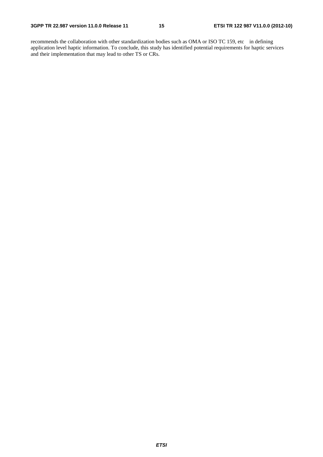recommends the collaboration with other standardization bodies such as OMA or ISO TC 159, etc in defining application level haptic information. To conclude, this study has identified potential requirements for haptic services and their implementation that may lead to other TS or CRs.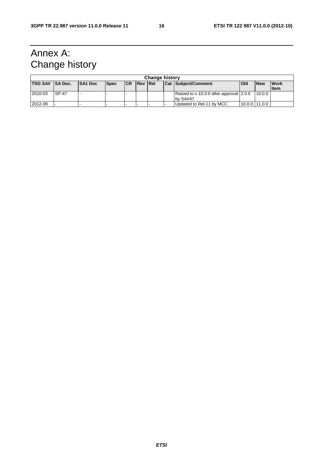### Annex A: Change history

| <b>Change history</b> |               |                |             |           |                |  |  |                                         |                |            |              |
|-----------------------|---------------|----------------|-------------|-----------|----------------|--|--|-----------------------------------------|----------------|------------|--------------|
| TSG SA# SA Doc.       |               | <b>SA1 Doc</b> | <b>Spec</b> | <b>CR</b> | <b>Rev Rel</b> |  |  | Cat Subject/Comment                     | Old            | <b>New</b> | <b>Work</b>  |
|                       |               |                |             |           |                |  |  |                                         |                |            | <b>I</b> tem |
| 2010-03               | <b>ISP-47</b> |                |             |           |                |  |  | Raised to v.10.0.0 after approval 2.0.0 |                | 10.0.0     |              |
|                       |               |                |             |           |                |  |  | by SA#47                                |                |            |              |
| 2012-09               |               |                |             |           |                |  |  | Updated to Rel-11 by MCC                | 10.0.0 111.0.0 |            |              |